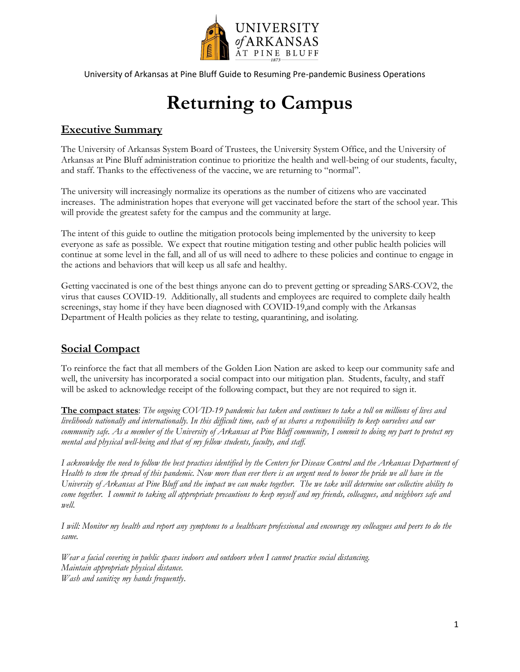

# **Returning to Campus**

### **Executive Summary**

The University of Arkansas System Board of Trustees, the University System Office, and the University of Arkansas at Pine Bluff administration continue to prioritize the health and well-being of our students, faculty, and staff. Thanks to the effectiveness of the vaccine, we are returning to "normal".

The university will increasingly normalize its operations as the number of citizens who are vaccinated increases. The administration hopes that everyone will get vaccinated before the start of the school year. This will provide the greatest safety for the campus and the community at large.

The intent of this guide to outline the mitigation protocols being implemented by the university to keep everyone as safe as possible. We expect that routine mitigation testing and other public health policies will continue at some level in the fall, and all of us will need to adhere to these policies and continue to engage in the actions and behaviors that will keep us all safe and healthy.

Getting vaccinated is one of the best things anyone can do to prevent getting or spreading SARS-COV2, the virus that causes COVID-19. Additionally, all students and employees are required to complete daily health screenings, stay home if they have been diagnosed with COVID-19,and comply with the Arkansas Department of Health policies as they relate to testing, quarantining, and isolating.

### **Social Compact**

To reinforce the fact that all members of the Golden Lion Nation are asked to keep our community safe and well, the university has incorporated a social compact into our mitigation plan. Students, faculty, and staff will be asked to acknowledge receipt of the following compact, but they are not required to sign it.

**The compact states**: *The ongoing COVID-19 pandemic has taken and continues to take a toll on millions of lives and livelihoods nationally and internationally. In this difficult time, each of us shares a responsibility to keep ourselves and our community safe. As a member of the University of Arkansas at Pine Bluff community, I commit to doing my part to protect my mental and physical well-being and that of my fellow students, faculty, and staff.* 

*I acknowledge the need to follow the best practices identified by the Centers for Disease Control and the Arkansas Department of Health to stem the spread of this pandemic. Now more than ever there is an urgent need to honor the pride we all have in the University of Arkansas at Pine Bluff and the impact we can make together. The we take will determine our collective ability to come together. I commit to taking all appropriate precautions to keep myself and my friends, colleagues, and neighbors safe and well.* 

*I will: Monitor my health and report any symptoms to a healthcare professional and encourage my colleagues and peers to do the same.* 

*Wear a facial covering in public spaces indoors and outdoors when I cannot practice social distancing. Maintain appropriate physical distance. Wash and sanitize my hands frequently*.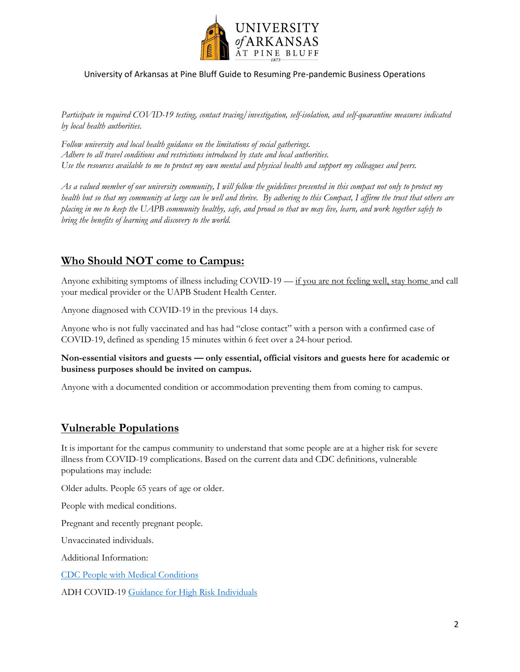

*Participate in required COVID-19 testing, contact tracing/investigation, self-isolation, and self-quarantine measures indicated by local health authorities.* 

*Follow university and local health guidance on the limitations of social gatherings. Adhere to all travel conditions and restrictions introduced by state and local authorities. Use the resources available to me to protect my own mental and physical health and support my colleagues and peers.*

*As a valued member of our university community, I will follow the guidelines presented in this compact not only to protect my health but so that my community at large can be well and thrive. By adhering to this Compact, I affirm the trust that others are placing in me to keep the UAPB community healthy, safe, and proud so that we may live, learn, and work together safely to bring the benefits of learning and discovery to the world.*

### **Who Should NOT come to Campus:**

Anyone exhibiting symptoms of illness including COVID-19 — if you are not feeling well, stay home and call your medical provider or the UAPB Student Health Center.

Anyone diagnosed with COVID-19 in the previous 14 days.

Anyone who is not fully vaccinated and has had "close contact" with a person with a confirmed case of COVID-19, defined as spending 15 minutes within 6 feet over a 24-hour period.

**Non-essential visitors and guests — only essential, official visitors and guests here for academic or business purposes should be invited on campus.**

Anyone with a documented condition or accommodation preventing them from coming to campus.

#### **Vulnerable Populations**

It is important for the campus community to understand that some people are at a higher risk for severe illness from COVID-19 complications. Based on the current data and CDC definitions, vulnerable populations may include:

Older adults. People 65 years of age or older.

People with medical conditions.

Pregnant and recently pregnant people.

Unvaccinated individuals.

Additional Information:

[CDC People with Medical Conditions](https://www.cdc.gov/coronavirus/2019-ncov/need-extra-precautions/people-with-medical-conditions.html)

ADH COVID-19 [Guidance for High Risk Individuals](https://www.healthy.arkansas.gov/programs-services/topics/covid-19-guidance-for-high-risk-individuals)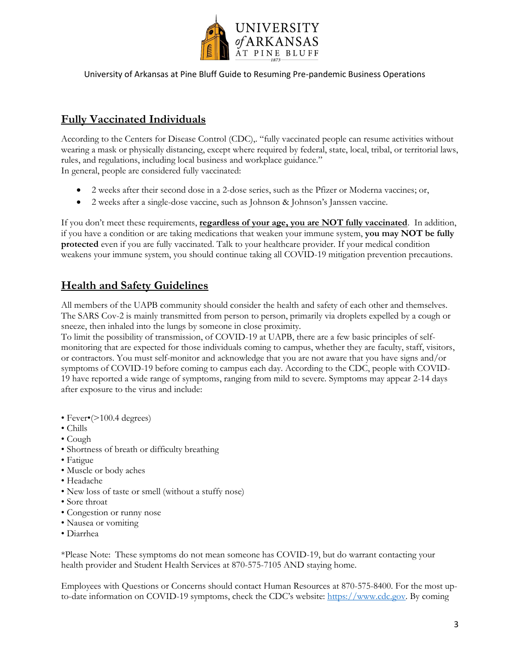

### **Fully Vaccinated Individuals**

According to the Centers for Disease Control (CDC),. "fully vaccinated people can resume activities without wearing a mask or physically distancing, except where required by federal, state, local, tribal, or territorial laws, rules, and regulations, including local business and workplace guidance." In general, people are considered fully vaccinated:

- 2 weeks after their second dose in a 2-dose series, such as the Pfizer or Moderna vaccines; or,
- 2 weeks after a single-dose vaccine, such as Johnson & Johnson's Janssen vaccine.

If you don't meet these requirements, **regardless of your age, you are NOT fully vaccinated**. In addition, if you have a condition or are taking medications that weaken your immune system, **you may NOT be fully protected** even if you are fully vaccinated. Talk to your healthcare provider. If your medical condition weakens your immune system, you should continue taking all COVID-19 mitigation prevention precautions.

### **Health and Safety Guidelines**

All members of the UAPB community should consider the health and safety of each other and themselves. The SARS Cov-2 is mainly transmitted from person to person, primarily via droplets expelled by a cough or sneeze, then inhaled into the lungs by someone in close proximity.

To limit the possibility of transmission, of COVID-19 at UAPB, there are a few basic principles of selfmonitoring that are expected for those individuals coming to campus, whether they are faculty, staff, visitors, or contractors. You must self-monitor and acknowledge that you are not aware that you have signs and/or symptoms of COVID-19 before coming to campus each day. According to the CDC, people with COVID-19 have reported a wide range of symptoms, ranging from mild to severe. Symptoms may appear 2-14 days after exposure to the virus and include:

- Fever•(>100.4 degrees)
- Chills
- Cough
- Shortness of breath or difficulty breathing
- Fatigue
- Muscle or body aches
- Headache
- New loss of taste or smell (without a stuffy nose)
- Sore throat
- Congestion or runny nose
- Nausea or vomiting
- Diarrhea

\*Please Note: These symptoms do not mean someone has COVID-19, but do warrant contacting your health provider and Student Health Services at 870-575-7105 AND staying home.

Employees with Questions or Concerns should contact Human Resources at 870-575-8400. For the most upto-date information on COVID-19 symptoms, check the CDC's website: [https://www.cdc.gov.](https://www.cdc.gov/) By coming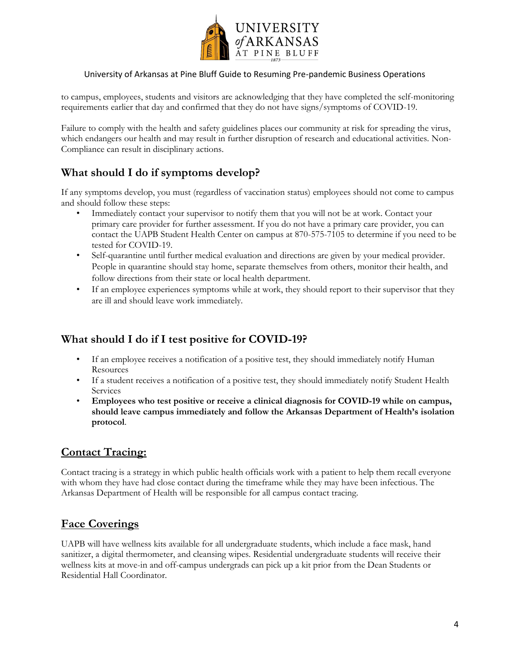

to campus, employees, students and visitors are acknowledging that they have completed the self-monitoring requirements earlier that day and confirmed that they do not have signs/symptoms of COVID-19.

Failure to comply with the health and safety guidelines places our community at risk for spreading the virus, which endangers our health and may result in further disruption of research and educational activities. Non-Compliance can result in disciplinary actions.

### **What should I do if symptoms develop?**

If any symptoms develop, you must (regardless of vaccination status) employees should not come to campus and should follow these steps:

- Immediately contact your supervisor to notify them that you will not be at work. Contact your primary care provider for further assessment. If you do not have a primary care provider, you can contact the UAPB Student Health Center on campus at 870-575-7105 to determine if you need to be tested for COVID-19.
- Self-quarantine until further medical evaluation and directions are given by your medical provider. People in quarantine should stay home, separate themselves from others, monitor their health, and follow directions from their state or local health department.
- If an employee experiences symptoms while at work, they should report to their supervisor that they are ill and should leave work immediately.

### **What should I do if I test positive for COVID-19?**

- If an employee receives a notification of a positive test, they should immediately notify Human Resources
- If a student receives a notification of a positive test, they should immediately notify Student Health Services
- **Employees who test positive or receive a clinical diagnosis for COVID-19 while on campus, should leave campus immediately and follow the Arkansas Department of Health's isolation protocol**.

### **Contact Tracing:**

Contact tracing is a strategy in which public health officials work with a patient to help them recall everyone with whom they have had close contact during the timeframe while they may have been infectious. The Arkansas Department of Health will be responsible for all campus contact tracing.

### **Face Coverings**

UAPB will have wellness kits available for all undergraduate students, which include a face mask, hand sanitizer, a digital thermometer, and cleansing wipes. Residential undergraduate students will receive their wellness kits at move-in and off-campus undergrads can pick up a kit prior from the Dean Students or Residential Hall Coordinator.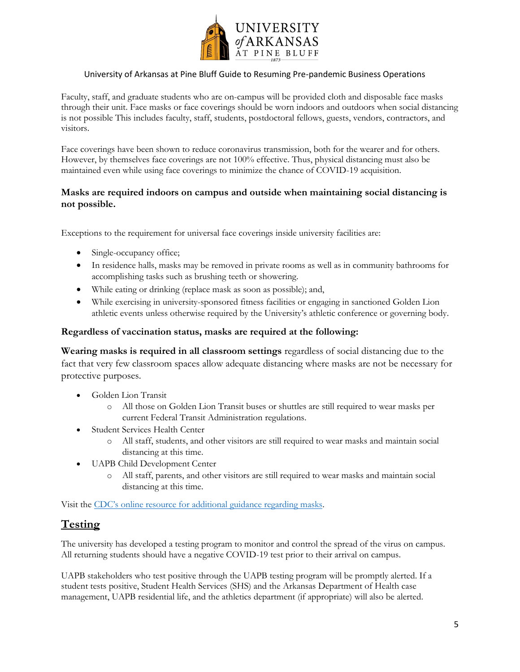

Faculty, staff, and graduate students who are on-campus will be provided cloth and disposable face masks through their unit. Face masks or face coverings should be worn indoors and outdoors when social distancing is not possible This includes faculty, staff, students, postdoctoral fellows, guests, vendors, contractors, and visitors.

Face coverings have been shown to reduce coronavirus transmission, both for the wearer and for others. However, by themselves face coverings are not 100% effective. Thus, physical distancing must also be maintained even while using face coverings to minimize the chance of COVID-19 acquisition.

#### **Masks are required indoors on campus and outside when maintaining social distancing is not possible.**

Exceptions to the requirement for universal face coverings inside university facilities are:

- Single-occupancy office;
- In residence halls, masks may be removed in private rooms as well as in community bathrooms for accomplishing tasks such as brushing teeth or showering.
- While eating or drinking (replace mask as soon as possible); and,
- While exercising in university-sponsored fitness facilities or engaging in sanctioned Golden Lion athletic events unless otherwise required by the University's athletic conference or governing body.

#### **Regardless of vaccination status, masks are required at the following:**

**Wearing masks is required in all classroom settings** regardless of social distancing due to the fact that very few classroom spaces allow adequate distancing where masks are not be necessary for protective purposes.

- Golden Lion Transit
	- o All those on Golden Lion Transit buses or shuttles are still required to wear masks per current Federal Transit Administration regulations.
- Student Services Health Center
	- o All staff, students, and other visitors are still required to wear masks and maintain social distancing at this time.
- UAPB Child Development Center
	- o All staff, parents, and other visitors are still required to wear masks and maintain social distancing at this time.

Visit the [CDC's online resource for additional gui](https://www.cdc.gov/coronavirus/2019-ncov/prevent-getting-sick/cloth-face-cover-guidance.html)dance regarding masks.

### **Testing**

The university has developed a testing program to monitor and control the spread of the virus on campus. All returning students should have a negative COVID-19 test prior to their arrival on campus.

UAPB stakeholders who test positive through the UAPB testing program will be promptly alerted. If a student tests positive, Student Health Services (SHS) and the Arkansas Department of Health case management, UAPB residential life, and the athletics department (if appropriate) will also be alerted.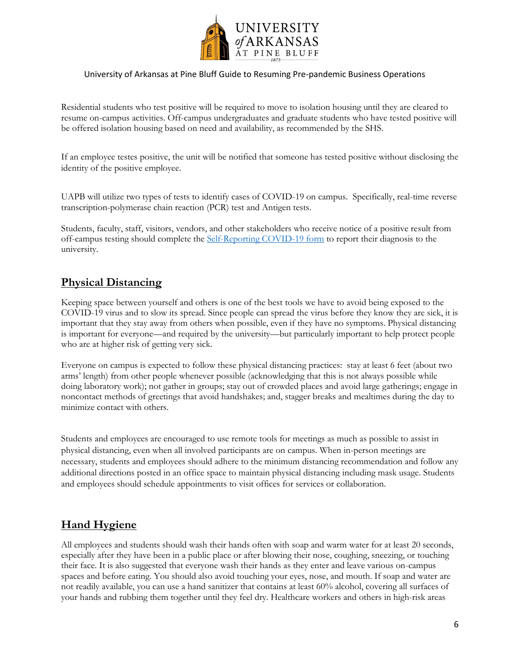

Residential students who test positive will be required to move to isolation housing until they are cleared to resume on-campus activities. Off-campus undergraduates and graduate students who have tested positive will be offered isolation housing based on need and availability, as recommended by the SHS.

If an employee testes positive, the unit will be notified that someone has tested positive without disclosing the identity of the positive employee.

UAPB will utilize two types of tests to identify cases of COVID-19 on campus. Specifically, real-time reverse transcription-polymerase chain reaction (PCR) test and Antigen tests.

Students, faculty, staff, visitors, vendors, and other stakeholders who receive notice of a positive result from off-campus testing should complete th[e Self-Reporting COVID-19 form](https://form.jotform.com/212576066662056) to report their diagnosis to the university.

### **Physical Distancing**

Keeping space between yourself and others is one of the best tools we have to avoid being exposed to the COVID-19 virus and to slow its spread. Since people can spread the virus before they know they are sick, it is important that they stay away from others when possible, even if they have no symptoms. Physical distancing is important for everyone—and required by the university—but particularly important to help protect people who are at higher risk of getting very sick.

Everyone on campus is expected to follow these physical distancing practices: stay at least 6 feet (about two arms' length) from other people whenever possible (acknowledging that this is not always possible while doing laboratory work); not gather in groups; stay out of crowded places and avoid large gatherings; engage in noncontact methods of greetings that avoid handshakes; and, stagger breaks and mealtimes during the day to minimize contact with others.

Students and employees are encouraged to use remote tools for meetings as much as possible to assist in physical distancing, even when all involved participants are on campus. When in-person meetings are necessary, students and employees should adhere to the minimum distancing recommendation and follow any additional directions posted in an office space to maintain physical distancing including mask usage. Students and employees should schedule appointments to visit offices for services or collaboration.

### **Hand Hygiene**

All employees and students should wash their hands often with soap and warm water for at least 20 seconds, especially after they have been in a public place or after blowing their nose, coughing, sneezing, or touching their face. It is also suggested that everyone wash their hands as they enter and leave various on-campus spaces and before eating. You should also avoid touching your eyes, nose, and mouth. If soap and water are not readily available, you can use a hand sanitizer that contains at least 60% alcohol, covering all surfaces of your hands and rubbing them together until they feel dry. Healthcare workers and others in high-risk areas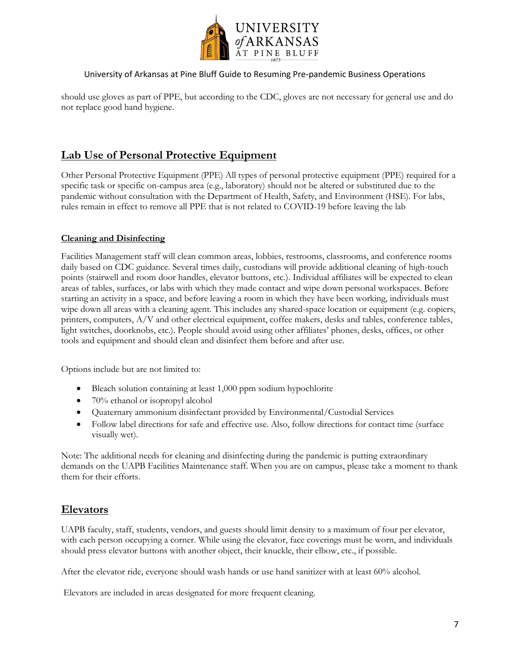

should use gloves as part of PPE, but according to the CDC, gloves are not necessary for general use and do not replace good hand hygiene.

### **Lab Use of Personal Protective Equipment**

Other Personal Protective Equipment (PPE) All types of personal protective equipment (PPE) required for a specific task or specific on-campus area (e.g., laboratory) should not be altered or substituted due to the pandemic without consultation with the Department of Health, Safety, and Environment (HSE). For labs, rules remain in effect to remove all PPE that is not related to COVID-19 before leaving the lab

#### **Cleaning and Disinfecting**

Facilities Management staff will clean common areas, lobbies, restrooms, classrooms, and conference rooms daily based on CDC guidance. Several times daily, custodians will provide additional cleaning of high-touch points (stairwell and room door handles, elevator buttons, etc.). Individual affiliates will be expected to clean areas of tables, surfaces, or labs with which they made contact and wipe down personal workspaces. Before starting an activity in a space, and before leaving a room in which they have been working, individuals must wipe down all areas with a cleaning agent. This includes any shared-space location or equipment (e.g. copiers, printers, computers, A/V and other electrical equipment, coffee makers, desks and tables, conference tables, light switches, doorknobs, etc.). People should avoid using other affiliates' phones, desks, offices, or other tools and equipment and should clean and disinfect them before and after use.

Options include but are not limited to:

- Bleach solution containing at least 1,000 ppm sodium hypochlorite
- 70% ethanol or isopropyl alcohol
- Quaternary ammonium disinfectant provided by Environmental/Custodial Services
- Follow label directions for safe and effective use. Also, follow directions for contact time (surface visually wet).

Note: The additional needs for cleaning and disinfecting during the pandemic is putting extraordinary demands on the UAPB Facilities Maintenance staff. When you are on campus, please take a moment to thank them for their efforts.

### **Elevators**

UAPB faculty, staff, students, vendors, and guests should limit density to a maximum of four per elevator, with each person occupying a corner. While using the elevator, face coverings must be worn, and individuals should press elevator buttons with another object, their knuckle, their elbow, etc., if possible.

After the elevator ride, everyone should wash hands or use hand sanitizer with at least 60% alcohol.

Elevators are included in areas designated for more frequent cleaning.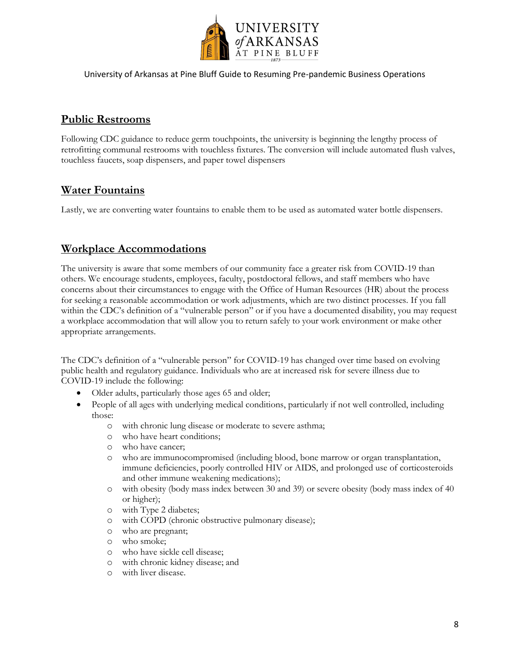

#### **Public Restrooms**

Following CDC guidance to reduce germ touchpoints, the university is beginning the lengthy process of retrofitting communal restrooms with touchless fixtures. The conversion will include automated flush valves, touchless faucets, soap dispensers, and paper towel dispensers

### **Water Fountains**

Lastly, we are converting water fountains to enable them to be used as automated water bottle dispensers.

### **Workplace Accommodations**

The university is aware that some members of our community face a greater risk from COVID-19 than others. We encourage students, employees, faculty, postdoctoral fellows, and staff members who have concerns about their circumstances to engage with the Office of Human Resources (HR) about the process for seeking a reasonable accommodation or work adjustments, which are two distinct processes. If you fall within the CDC's definition of a "vulnerable person" or if you have a documented disability, you may request a workplace accommodation that will allow you to return safely to your work environment or make other appropriate arrangements.

The CDC's definition of a "vulnerable person" for COVID-19 has changed over time based on evolving public health and regulatory guidance. Individuals who are at increased risk for severe illness due to COVID-19 include the following:

- Older adults, particularly those ages 65 and older;
- People of all ages with underlying medical conditions, particularly if not well controlled, including those:
	- o with chronic lung disease or moderate to severe asthma;
	- o who have heart conditions;
	- o who have cancer;
	- o who are immunocompromised (including blood, bone marrow or organ transplantation, immune deficiencies, poorly controlled HIV or AIDS, and prolonged use of corticosteroids and other immune weakening medications);
	- o with obesity (body mass index between 30 and 39) or severe obesity (body mass index of 40 or higher);
	- o with Type 2 diabetes;
	- o with COPD (chronic obstructive pulmonary disease);
	- o who are pregnant;
	- o who smoke;
	- o who have sickle cell disease;
	- o with chronic kidney disease; and
	- o with liver disease.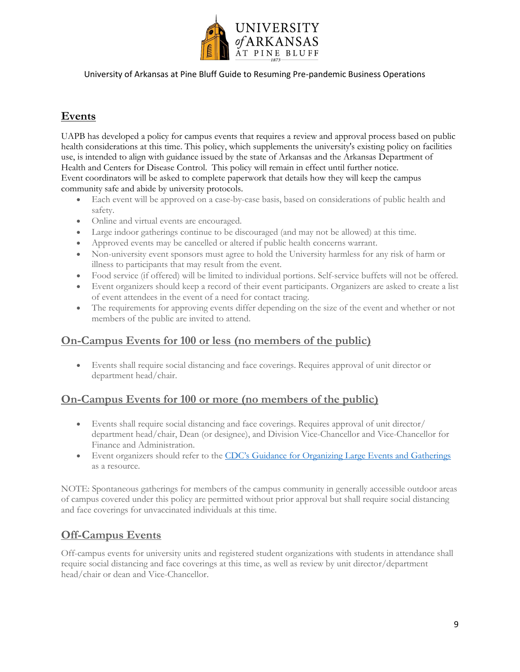

### **Events**

UAPB has developed a policy for campus events that requires a review and approval process based on public health considerations at this time. This policy, which supplements the university's existing policy on facilities use, is intended to align with guidance issued by the state of Arkansas and the Arkansas Department of Health and Centers for Disease Control. This policy will remain in effect until further notice. Event coordinators will be asked to complete paperwork that details how they will keep the campus community safe and abide by university protocols.

- Each event will be approved on a case-by-case basis, based on considerations of public health and safety.
- Online and virtual events are encouraged.
- Large indoor gatherings continue to be discouraged (and may not be allowed) at this time.
- Approved events may be cancelled or altered if public health concerns warrant.
- Non-university event sponsors must agree to hold the University harmless for any risk of harm or illness to participants that may result from the event.
- Food service (if offered) will be limited to individual portions. Self-service buffets will not be offered.
- Event organizers should keep a record of their event participants. Organizers are asked to create a list of event attendees in the event of a need for contact tracing.
- The requirements for approving events differ depending on the size of the event and whether or not members of the public are invited to attend.

### **On-Campus Events for 100 or less (no members of the public)**

 Events shall require social distancing and face coverings. Requires approval of unit director or department head/chair.

### **On-Campus Events for 100 or more (no members of the public)**

- Events shall require social distancing and face coverings. Requires approval of unit director/ department head/chair, Dean (or designee), and Division Vice-Chancellor and Vice-Chancellor for Finance and Administration.
- Event organizers should refer to the [CDC's Guidance for Organizing Large Events and Gatherings](https://www.cdc.gov/coronavirus/2019-ncov/community/large-events/considerations-for-events-gatherings.html) as a resource.

NOTE: Spontaneous gatherings for members of the campus community in generally accessible outdoor areas of campus covered under this policy are permitted without prior approval but shall require social distancing and face coverings for unvaccinated individuals at this time.

### **Off-Campus Events**

Off-campus events for university units and registered student organizations with students in attendance shall require social distancing and face coverings at this time, as well as review by unit director/department head/chair or dean and Vice-Chancellor.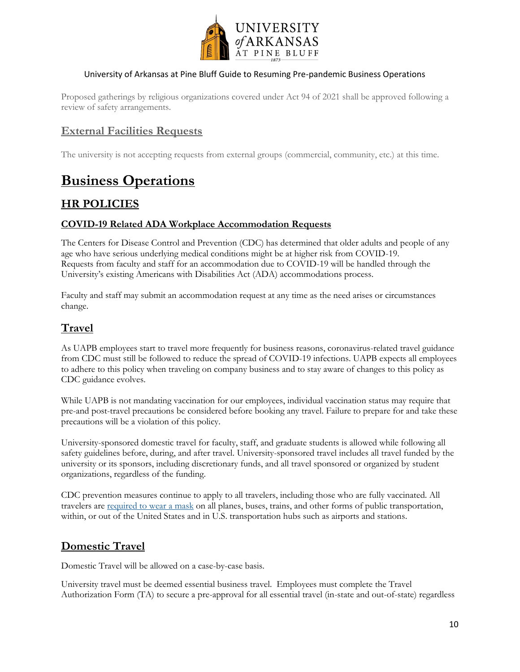

Proposed gatherings by religious organizations covered under Act 94 of 2021 shall be approved following a review of safety arrangements.

### **External Facilities Requests**

The university is not accepting requests from external groups (commercial, community, etc.) at this time.

## **Business Operations**

### **HR POLICIES**

#### **COVID-19 Related ADA Workplace Accommodation Requests**

The Centers for Disease Control and Prevention (CDC) has determined that older adults and people of any age who have serious underlying medical conditions might be at higher risk from COVID-19. Requests from faculty and staff for an accommodation due to COVID-19 will be handled through the University's existing Americans with Disabilities Act (ADA) accommodations process.

Faculty and staff may submit an accommodation request at any time as the need arises or circumstances change.

### **Travel**

As UAPB employees start to travel more frequently for business reasons, coronavirus-related travel guidance from CDC must still be followed to reduce the spread of COVID-19 infections. UAPB expects all employees to adhere to this policy when traveling on company business and to stay aware of changes to this policy as CDC guidance evolves.

While UAPB is not mandating vaccination for our employees, individual vaccination status may require that pre-and post-travel precautions be considered before booking any travel. Failure to prepare for and take these precautions will be a violation of this policy.

University-sponsored domestic travel for faculty, staff, and graduate students is allowed while following all safety guidelines before, during, and after travel. University-sponsored travel includes all travel funded by the university or its sponsors, including discretionary funds, and all travel sponsored or organized by student organizations, regardless of the funding.

CDC prevention measures continue to apply to all travelers, including those who are fully vaccinated. All travelers are [required to wear a mask](https://www.cdc.gov/coronavirus/2019-ncov/travelers/face-masks-public-transportation.html) on all planes, buses, trains, and other forms of public transportation, within, or out of the United States and in U.S. transportation hubs such as airports and stations.

### **Domestic Travel**

Domestic Travel will be allowed on a case-by-case basis.

University travel must be deemed essential business travel. Employees must complete the Travel Authorization Form (TA) to secure a pre-approval for all essential travel (in-state and out-of-state) regardless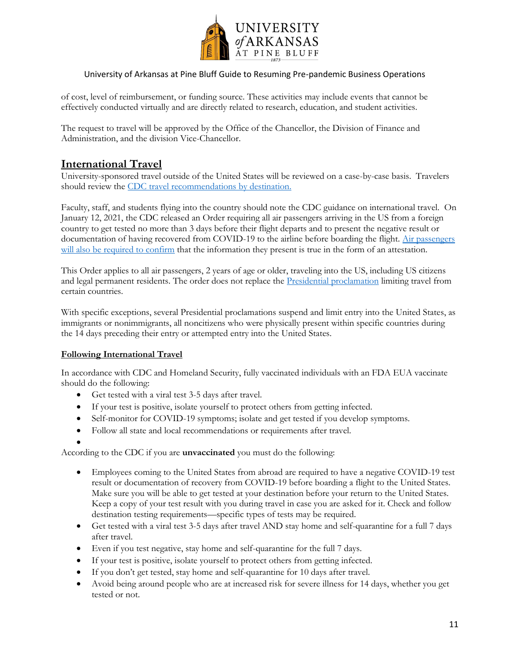

of cost, level of reimbursement, or funding source. These activities may include events that cannot be effectively conducted virtually and are directly related to research, education, and student activities.

The request to travel will be approved by the Office of the Chancellor, the Division of Finance and Administration, and the division Vice-Chancellor.

### **International Travel**

University-sponsored travel outside of the United States will be reviewed on a case-by-case basis. Travelers should review the [CDC travel recommendations by destination.](https://www.cdc.gov/coronavirus/2019-ncov/travelers/map-and-travel-notices.html#travel-1) 

Faculty, staff, and students flying into the country should note the CDC guidance on international travel. On January 12, 2021, the CDC released an Order requiring all air passengers arriving in the US from a foreign country to get tested no more than 3 days before their flight departs and to present the negative result or documentation of having recovered from COVID-19 to the airline before boarding the flight. [Air passengers](https://www.cdc.gov/coronavirus/2019-ncov/travelers/pdf/Airline_Testing_Order_Checklist-p.pdf)  [will also be required to confirm](https://www.cdc.gov/coronavirus/2019-ncov/travelers/pdf/Airline_Testing_Order_Checklist-p.pdf) that the information they present is true in the form of an attestation.

This Order applies to all air passengers, 2 years of age or older, traveling into the US, including US citizens and legal permanent residents. The order does not replace the [Presidential proclamation](https://www.cdc.gov/coronavirus/2019-ncov/travelers/from-other-countries.html) limiting travel from certain countries.

With specific exceptions, several Presidential proclamations suspend and limit entry into the United States, as immigrants or nonimmigrants, all noncitizens who were physically present within specific countries during the 14 days preceding their entry or attempted entry into the United States.

#### **Following International Travel**

In accordance with CDC and Homeland Security, fully vaccinated individuals with an FDA EUA vaccinate should do the following:

- Get tested with a viral test 3-5 days after travel.
- If your test is positive, isolate yourself to protect others from getting infected.
- Self-monitor for COVID-19 symptoms; isolate and get tested if you develop symptoms.
- Follow all state and local recommendations or requirements after travel.
- $\bullet$

According to the CDC if you are **unvaccinated** you must do the following:

- Employees coming to the United States from abroad are required to have a negative COVID-19 test result or documentation of recovery from COVID-19 before boarding a flight to the United States. Make sure you will be able to get tested at your destination before your return to the United States. Keep a copy of your test result with you during travel in case you are asked for it. Check and follow destination testing requirements—specific types of tests may be required.
- Get tested with a viral test 3-5 days after travel AND stay home and self-quarantine for a full 7 days after travel.
- Even if you test negative, stay home and self-quarantine for the full 7 days.
- If your test is positive, isolate yourself to protect others from getting infected.
- If you don't get tested, stay home and self-quarantine for 10 days after travel.
- Avoid being around people who are at increased risk for severe illness for 14 days, whether you get tested or not.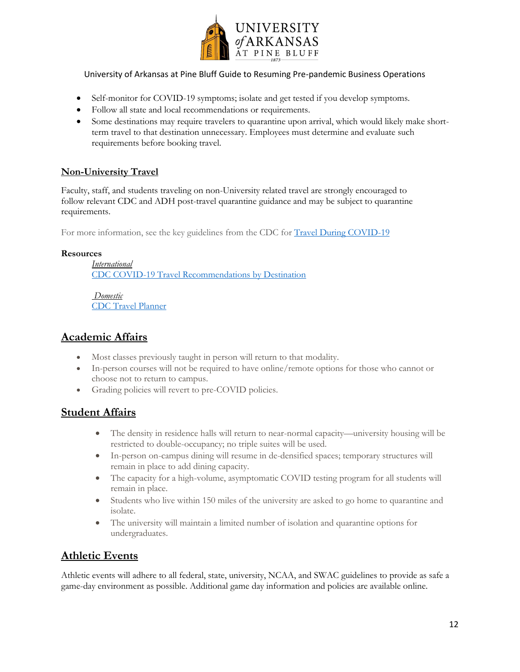

- Self-monitor for COVID-19 symptoms; isolate and get tested if you develop symptoms.
- Follow all state and local recommendations or requirements.
- Some destinations may require travelers to quarantine upon arrival, which would likely make shortterm travel to that destination unnecessary. Employees must determine and evaluate such requirements before booking travel.

#### **Non-University Travel**

Faculty, staff, and students traveling on non-University related travel are strongly encouraged to follow relevant CDC and ADH post-travel quarantine guidance and may be subject to quarantine requirements.

For more information, see the key guidelines from the CDC for [Travel During COVID-19](https://www.cdc.gov/coronavirus/2019-ncov/travelers/travel-during-covid19.html)

#### **Resources**

*International* [CDC COVID-19 Travel Recommendations by Destination](https://www.cdc.gov/coronavirus/2019-ncov/travelers/map-and-travel-notices.html)

*Domestic* [CDC Travel Planner](https://www.cdc.gov/coronavirus/2019-ncov/travelers/travel-planner/index.html)

#### **Academic Affairs**

- Most classes previously taught in person will return to that modality.
- In-person courses will not be required to have online/remote options for those who cannot or choose not to return to campus.
- Grading policies will revert to pre-COVID policies.

### **Student Affairs**

- The density in residence halls will return to near-normal capacity—university housing will be restricted to double-occupancy; no triple suites will be used.
- In-person on-campus dining will resume in de-densified spaces; temporary structures will remain in place to add dining capacity.
- The capacity for a high-volume, asymptomatic COVID testing program for all students will remain in place.
- Students who live within 150 miles of the university are asked to go home to quarantine and isolate.
- The university will maintain a limited number of isolation and quarantine options for undergraduates.

### **Athletic Events**

Athletic events will adhere to all federal, state, university, NCAA, and SWAC guidelines to provide as safe a game-day environment as possible. Additional game day information and policies are available online.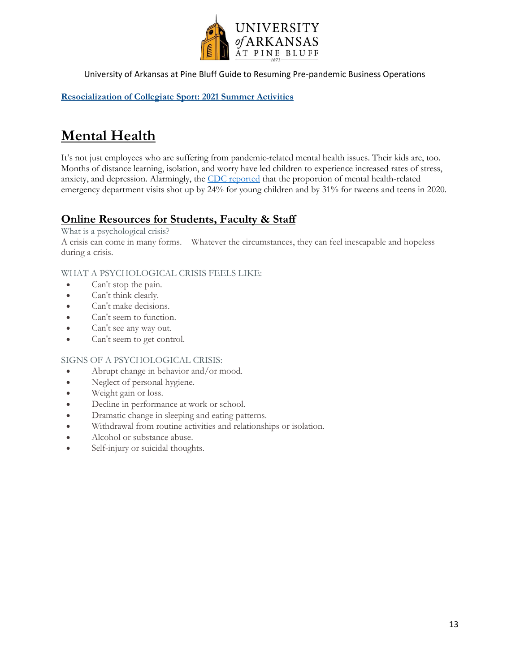

**[Resocialization of Collegiate Sport: 2021 Summer Activities](https://ncaaorg.s3.amazonaws.com/ssi/COVID/SSI_ResocializationSummerActivities.pdf)**

# **Mental Health**

It's not just employees who are suffering from pandemic-related mental health issues. Their kids are, too. Months of distance learning, isolation, and worry have led children to experience increased rates of stress, anxiety, and depression. Alarmingly, the [CDC reported](https://www.cdc.gov/mmwr/volumes/69/wr/mm6945a3.htm?s_cid=mm6945a3_w) that the proportion of mental health-related emergency department visits shot up by 24% for young children and by 31% for tweens and teens in 2020.

### **Online Resources for Students, Faculty & Staff**

What is a psychological crisis?

A crisis can come in many forms. Whatever the circumstances, they can feel inescapable and hopeless during a crisis.

#### WHAT A PSYCHOLOGICAL CRISIS FEELS LIKE:

- Can't stop the pain.
- Can't think clearly.
- Can't make decisions.
- Can't seem to function.
- Can't see any way out.
- Can't seem to get control.

#### SIGNS OF A PSYCHOLOGICAL CRISIS:

- Abrupt change in behavior and/or mood.
- Neglect of personal hygiene.
- Weight gain or loss.
- Decline in performance at work or school.
- Dramatic change in sleeping and eating patterns.
- Withdrawal from routine activities and relationships or isolation.
- Alcohol or substance abuse.
- Self-injury or suicidal thoughts.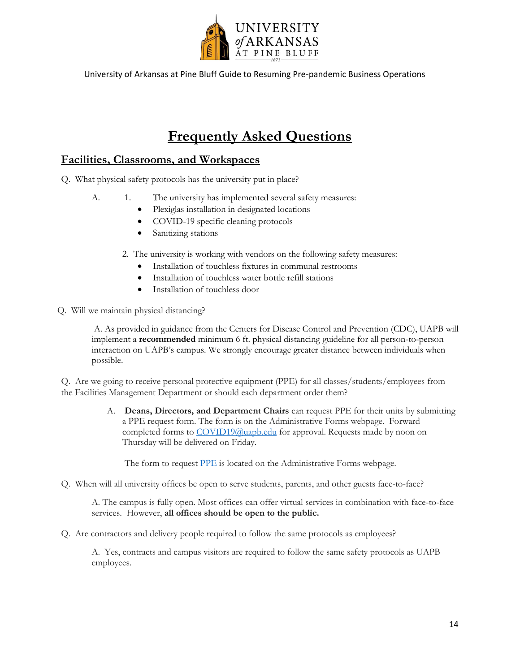

# **Frequently Asked Questions**

### **Facilities, Classrooms, and Workspaces**

- Q. What physical safety protocols has the university put in place?
	- A. 1. The university has implemented several safety measures:
		- Plexiglas installation in designated locations
		- COVID-19 specific cleaning protocols
		- Sanitizing stations
		- 2. The university is working with vendors on the following safety measures:
			- Installation of touchless fixtures in communal restrooms
			- Installation of touchless water bottle refill stations
			- Installation of touchless door
- Q. Will we maintain physical distancing?

A. As provided in guidance from the Centers for Disease Control and Prevention (CDC), UAPB will implement a **recommended** minimum 6 ft. physical distancing guideline for all person-to-person interaction on UAPB's campus. We strongly encourage greater distance between individuals when possible.

Q. Are we going to receive personal protective equipment (PPE) for all classes/students/employees from the Facilities Management Department or should each department order them?

> A. **Deans, Directors, and Department Chairs** can request PPE for their units by submitting a PPE request form. The form is on the Administrative Forms webpage. Forward completed forms to [COVID19@uapb.edu](mailto:COVID19@uapb.edu) for approval. Requests made by noon on Thursday will be delivered on Friday.

The form to request [PPE](http://www.uapb.edu/sites/www/Uploads/files/Administrative%20Forms%20(Personal%20Protective%20Equipment%20Request%20Form).pdf) is located on the Administrative Forms webpage.

Q. When will all university offices be open to serve students, parents, and other guests face-to-face?

A. The campus is fully open. Most offices can offer virtual services in combination with face-to-face services. However, **all offices should be open to the public.** 

Q. Are contractors and delivery people required to follow the same protocols as employees?

A. Yes, contracts and campus visitors are required to follow the same safety protocols as UAPB employees.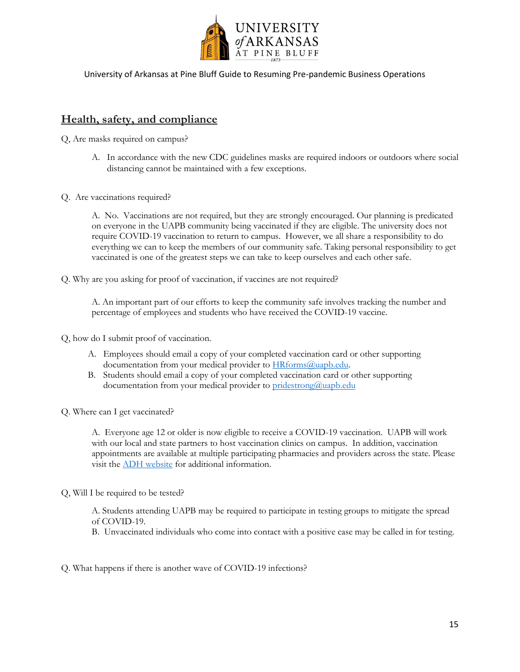

#### **Health, safety, and compliance**

Q, Are masks required on campus?

- A. In accordance with the new CDC guidelines masks are required indoors or outdoors where social distancing cannot be maintained with a few exceptions.
- Q. Are vaccinations required?

A. No. Vaccinations are not required, but they are strongly encouraged. Our planning is predicated on everyone in the UAPB community being vaccinated if they are eligible. The university does not require COVID-19 vaccination to return to campus. However, we all share a responsibility to do everything we can to keep the members of our community safe. Taking personal responsibility to get vaccinated is one of the greatest steps we can take to keep ourselves and each other safe.

Q. Why are you asking for proof of vaccination, if vaccines are not required?

A. An important part of our efforts to keep the community safe involves tracking the number and percentage of employees and students who have received the COVID-19 vaccine.

Q, how do I submit proof of vaccination.

- A. Employees should email a copy of your completed vaccination card or other supporting documentation from your medical provider to **HRforms@uapb.edu**.
- B. Students should email a copy of your completed vaccination card or other supporting documentation from your medical provider t[o pridestrong@uapb.edu](mailto:pridestrong@uapb.edu)
- Q. Where can I get vaccinated?

A. Everyone age 12 or older is now eligible to receive a COVID-19 vaccination. UAPB will work with our local and state partners to host vaccination clinics on campus. In addition, vaccination appointments are available at multiple participating pharmacies and providers across the state. Please visit the [ADH website](https://www.healthy.arkansas.gov/programs-services/topics/covid-19-vaccination-plan) for additional information.

Q, Will I be required to be tested?

A. Students attending UAPB may be required to participate in testing groups to mitigate the spread of COVID-19.

B. Unvaccinated individuals who come into contact with a positive case may be called in for testing.

Q. What happens if there is another wave of COVID-19 infections?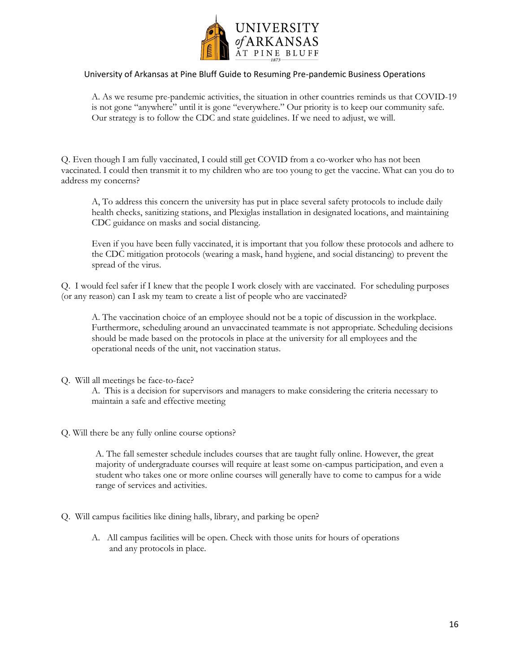

A. As we resume pre-pandemic activities, the situation in other countries reminds us that COVID-19 is not gone "anywhere" until it is gone "everywhere." Our priority is to keep our community safe. Our strategy is to follow the CDC and state guidelines. If we need to adjust, we will.

Q. Even though I am fully vaccinated, I could still get COVID from a co-worker who has not been vaccinated. I could then transmit it to my children who are too young to get the vaccine. What can you do to address my concerns?

A, To address this concern the university has put in place several safety protocols to include daily health checks, sanitizing stations, and Plexiglas installation in designated locations, and maintaining CDC guidance on masks and social distancing.

Even if you have been fully vaccinated, it is important that you follow these protocols and adhere to the CDC mitigation protocols (wearing a mask, hand hygiene, and social distancing) to prevent the spread of the virus.

Q. I would feel safer if I knew that the people I work closely with are vaccinated. For scheduling purposes (or any reason) can I ask my team to create a list of people who are vaccinated?

A. The vaccination choice of an employee should not be a topic of discussion in the workplace. Furthermore, scheduling around an unvaccinated teammate is not appropriate. Scheduling decisions should be made based on the protocols in place at the university for all employees and the operational needs of the unit, not vaccination status.

#### Q. Will all meetings be face-to-face?

A. This is a decision for supervisors and managers to make considering the criteria necessary to maintain a safe and effective meeting

Q. Will there be any fully online course options?

A. The fall semester schedule includes courses that are taught fully online. However, the great majority of undergraduate courses will require at least some on-campus participation, and even a student who takes one or more online courses will generally have to come to campus for a wide range of services and activities.

- Q. Will campus facilities like dining halls, library, and parking be open?
	- A. All campus facilities will be open. Check with those units for hours of operations and any protocols in place.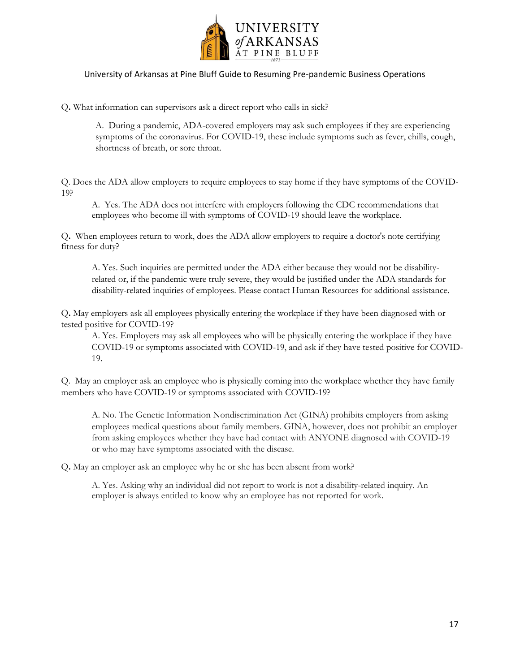

Q**.** What information can supervisors ask a [direct report who calls in sick?](https://www.eeoc.gov/laws/guidance/pandemic-preparedness-workplace-and-americans-disabilities-act#q6)

A. During a pandemic, ADA-covered employers may ask such employees if they are experiencing symptoms of the coronavirus. For COVID-19, these include symptoms such as fever, chills, cough, shortness of breath, or sore throat.

Q. Does the ADA allow employers to require employees to stay home if they have symptoms of the COVID-19?

A. Yes. The ADA does not interfere with employers following the CDC recommendations that employees who become ill with symptoms of COVID-19 should leave the workplace.

Q**.** When employees return to work, does the ADA allow employers to require a doctor's note certifying fitness for duty?

A. Yes. Such inquiries are permitted under the ADA either because they would not be disabilityrelated or, if the pandemic were truly severe, they would be justified under the ADA standards for disability-related inquiries of employees. Please contact Human Resources for additional assistance.

Q**.** May employers ask all employees physically entering the workplace if they have been diagnosed with or tested positive for COVID-19?

A. Yes. Employers may ask all employees who will be physically entering the workplace if they have COVID-19 or symptoms associated with COVID-19, and ask if they have tested positive for COVID-19.

Q. May an employer ask an employee who is physically coming into the workplace whether they have family members who have COVID-19 or symptoms associated with COVID-19?

A. No. The Genetic Information Nondiscrimination Act (GINA) prohibits employers from asking employees medical questions about family members. GINA, however, does not prohibit an employer from asking employees whether they have had contact with ANYONE diagnosed with COVID-19 or who may have symptoms associated with the disease.

Q**.** May an employer ask an employee why he or she has been absent from work?

A. Yes. Asking why an individual did not report to work is not a disability-related inquiry. An employer is always entitled to know why an employee has not reported for work.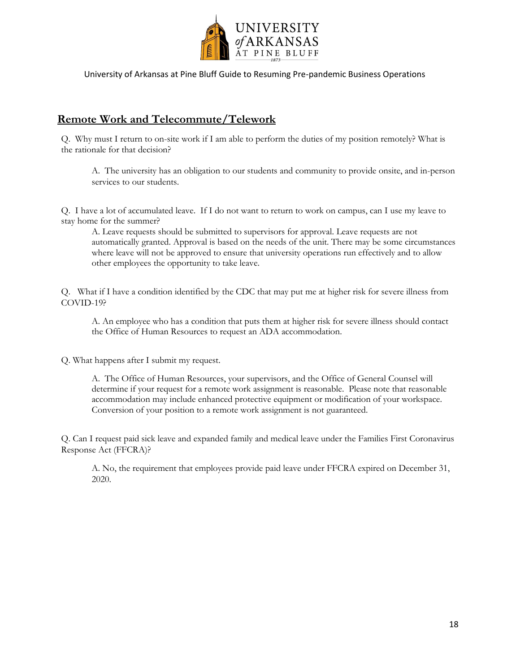

### **Remote Work and Telecommute/Telework**

Q. Why must I return to on-site work if I am able to perform the duties of my position remotely? What is the rationale for that decision?

A. The university has an obligation to our students and community to provide onsite, and in-person services to our students.

Q. I have a lot of accumulated leave. If I do not want to return to work on campus, can I use my leave to stay home for the summer?

A. Leave requests should be submitted to supervisors for approval. Leave requests are not automatically granted. Approval is based on the needs of the unit. There may be some circumstances where leave will not be approved to ensure that university operations run effectively and to allow other employees the opportunity to take leave.

Q. What if I have a condition identified by the CDC that may put me at higher risk for severe illness from COVID-19?

A. An employee who has a condition that puts them at higher risk for severe illness should contact the Office of Human Resources to request an ADA accommodation.

Q. What happens after I submit my request.

A. The Office of Human Resources, your supervisors, and the Office of General Counsel will determine if your request for a remote work assignment is reasonable. Please note that reasonable accommodation may include enhanced protective equipment or modification of your workspace. Conversion of your position to a remote work assignment is not guaranteed.

Q. Can I request paid sick leave and expanded family and medical leave under the Families First Coronavirus Response Act (FFCRA)?

A. No, the requirement that employees provide paid leave under FFCRA expired on December 31, 2020.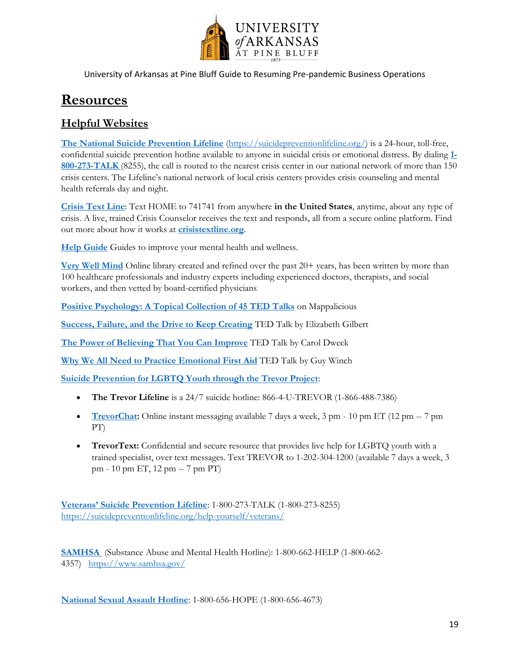

# **Resources**

### **Helpful Websites**

**[The National Suicide Prevention Lifeline](http://www.suicidepreventionlifeline.org/)** [\(https://suicidepreventionlifeline.org/\)](https://suicidepreventionlifeline.org/) is a 24-hour, toll-free, confidential suicide prevention hotline available to anyone in suicidal crisis or emotional distress. By dialing **[1-](tel:18002738255) [800-273-TALK](tel:18002738255)** (8255), the call is routed to the nearest crisis center in our national network of more than 150 crisis centers. The Lifeline's national network of local crisis centers provides crisis counseling and mental health referrals day and night.

**[Crisis Text Line](https://www.crisistextline.org/)**: Text HOME to 741741 from anywhere **in the United States**, anytime, about any type of crisis. A live, trained Crisis Counselor receives the text and responds, all from a secure online platform. Find out more about how it works at **[crisistextline.org](https://www.crisistextline.org/)**.

**[Help Guide](https://www.helpguide.org/)** Guides to improve your mental health and wellness.

**[Very Well Mind](https://www.verywellmind.com/)** Online library created and refined over the past  $20+$  years, has been written by more than 100 healthcare professionals and industry experts including experienced doctors, therapists, and social workers, and then vetted by board-certified physicians

**[Positive Psychology: A Topical Collection of 45 TED Talks](https://mappalicious.com/positive_psychology_resources/positive-psychology-ted-talks/)** on Mappalicious

**[Success, Failure, and the Drive to Keep Creating](https://www.ted.com/talks/elizabeth_gilbert_success_failure_and_the_drive_to_keep_creating?utm_campaign=tedspread&utm_medium=referral&utm_source=tedcomshare)** TED Talk by Elizabeth Gilbert

**[The Power of Believing That](https://www.ted.com/talks/carol_dweck_the_power_of_believing_that_you_can_improve?utm_campaign=tedspread&utm_medium=referral&utm_source=tedcomshare) You Can Improve** TED Talk by Carol Dweck

**[Why We All Need to Practice Emotional First Aid](https://www.ted.com/talks/guy_winch_why_we_all_need_to_practice_emotional_first_aid?utm_campaign=tedspread&utm_medium=referral&utm_source=tedcomshare)** TED Talk by Guy Winch

**[Suicide Prevention for LGBTQ Youth through the Trevor Project](https://www.thetrevorproject.org/get-help-now/#sm.0000n8i5bxqvkcwf10zbfu33lvh1r)**:

- **The Trevor Lifeline** is a 24/7 suicide hotline: 866-4-U-TREVOR (1-866-488-7386)
- **[TrevorChat:](https://www.thetrevorproject.org/get-help-now/#sm.0000n8i5bxqvkcwf10zbfu33lvh1r)** Online instant messaging available 7 days a week, 3 pm 10 pm ET (12 pm -- 7 pm PT)
- **TrevorText:** Confidential and secure resource that provides live help for LGBTQ youth with a trained specialist, over text messages. Text TREVOR to 1-202-304-1200 (available 7 days a week, 3 pm - 10 pm ET, 12 pm -- 7 pm PT)

**[Veterans' Suicide Preve](https://suicidepreventionlifeline.org/help-yourself/veterans/)ntion Lifeline**: 1-800-273-TALK (1-800-273-8255) <https://suicidepreventionlifeline.org/help-yourself/veterans/>

**[SAMHSA](https://www.samhsa.gov/find-help/national-helpline)** (Substance Abuse and Mental Health Hotline): 1-800-662-HELP (1-800-662- 4357) <https://www.samhsa.gov/>

**[National Sexual Assault Hotline](https://ohl.rainn.org/online/)**: 1-800-656-HOPE (1-800-656-4673)